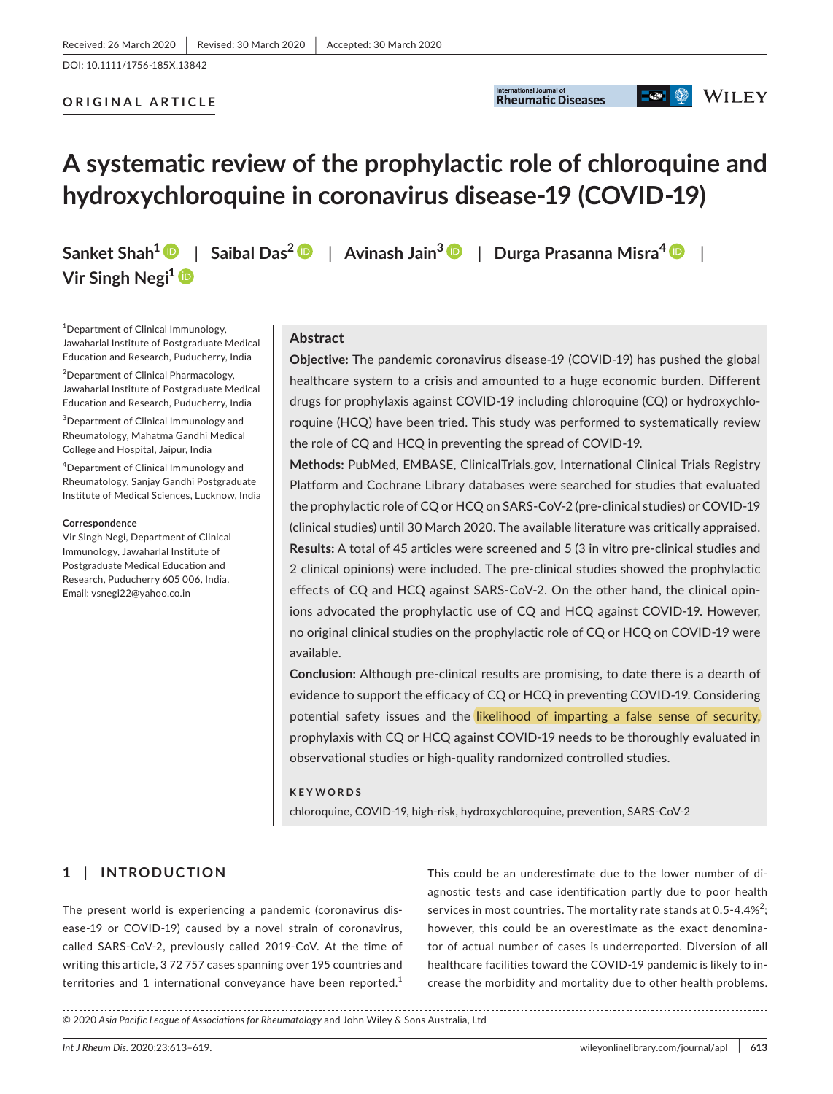DOI: 10.1111/1756-185X.13842

#### **ORIGINAL ARTICLE**



## **D**  $\otimes$  WILEY

# **A systematic review of the prophylactic role of chloroquine and hydroxychloroquine in coronavirus disease-19 (COVID-19)**

**Sanket Shah1** | **Saibal Das[2](https://orcid.org/0000-0002-3153-4166)** | **Avinash Jain[3](https://orcid.org/0000-0003-3207-4509)** | **Durga Prasanna Misra[4](https://orcid.org/0000-0002-5035-7396)** | **Vir Singh Negi[1](https://orcid.org/0000-0003-1518-6031)**

<sup>1</sup>Department of Clinical Immunology, Jawaharlal Institute of Postgraduate Medical Education and Research, Puducherry, India

<sup>2</sup>Department of Clinical Pharmacology, Jawaharlal Institute of Postgraduate Medical Education and Research, Puducherry, India

3 Department of Clinical Immunology and Rheumatology, Mahatma Gandhi Medical College and Hospital, Jaipur, India

4 Department of Clinical Immunology and Rheumatology, Sanjay Gandhi Postgraduate Institute of Medical Sciences, Lucknow, India

#### **Correspondence**

Vir Singh Negi, Department of Clinical Immunology, Jawaharlal Institute of Postgraduate Medical Education and Research, Puducherry 605 006, India. Email: [vsnegi22@yahoo.co.in](mailto:vsnegi22@yahoo.co.in)

#### **Abstract**

**Objective:** The pandemic coronavirus disease-19 (COVID-19) has pushed the global healthcare system to a crisis and amounted to a huge economic burden. Different drugs for prophylaxis against COVID-19 including chloroquine (CQ) or hydroxychloroquine (HCQ) have been tried. This study was performed to systematically review the role of CQ and HCQ in preventing the spread of COVID-19.

**Methods:** PubMed, EMBASE, ClinicalTrials.gov, International Clinical Trials Registry Platform and Cochrane Library databases were searched for studies that evaluated the prophylactic role of CQ or HCQ on SARS-CoV-2 (pre-clinical studies) or COVID-19 (clinical studies) until 30 March 2020. The available literature was critically appraised. **Results:** A total of 45 articles were screened and 5 (3 in vitro pre-clinical studies and 2 clinical opinions) were included. The pre-clinical studies showed the prophylactic effects of CQ and HCQ against SARS-CoV-2. On the other hand, the clinical opinions advocated the prophylactic use of CQ and HCQ against COVID-19. However, no original clinical studies on the prophylactic role of CQ or HCQ on COVID-19 were available.

**Conclusion:** Although pre-clinical results are promising, to date there is a dearth of evidence to support the efficacy of CQ or HCQ in preventing COVID-19. Considering potential safety issues and the likelihood of imparting a false sense of security, prophylaxis with CQ or HCQ against COVID-19 needs to be thoroughly evaluated in observational studies or high-quality randomized controlled studies.

#### **KEYWORDS**

chloroquine, COVID-19, high-risk, hydroxychloroquine, prevention, SARS-CoV-2

## **1** | **INTRODUCTION**

The present world is experiencing a pandemic (coronavirus disease-19 or COVID-19) caused by a novel strain of coronavirus, called SARS-CoV-2, previously called 2019-CoV. At the time of writing this article, 3 72 757 cases spanning over 195 countries and territories and 1 international conveyance have been reported.<sup>1</sup>

This could be an underestimate due to the lower number of diagnostic tests and case identification partly due to poor health services in most countries. The mortality rate stands at 0.5-4.4%<sup>2</sup>; however, this could be an overestimate as the exact denominator of actual number of cases is underreported. Diversion of all healthcare facilities toward the COVID-19 pandemic is likely to increase the morbidity and mortality due to other health problems.

<sup>© 2020</sup> *Asia Pacific League of Associations for Rheumatology* and John Wiley & Sons Australia, Ltd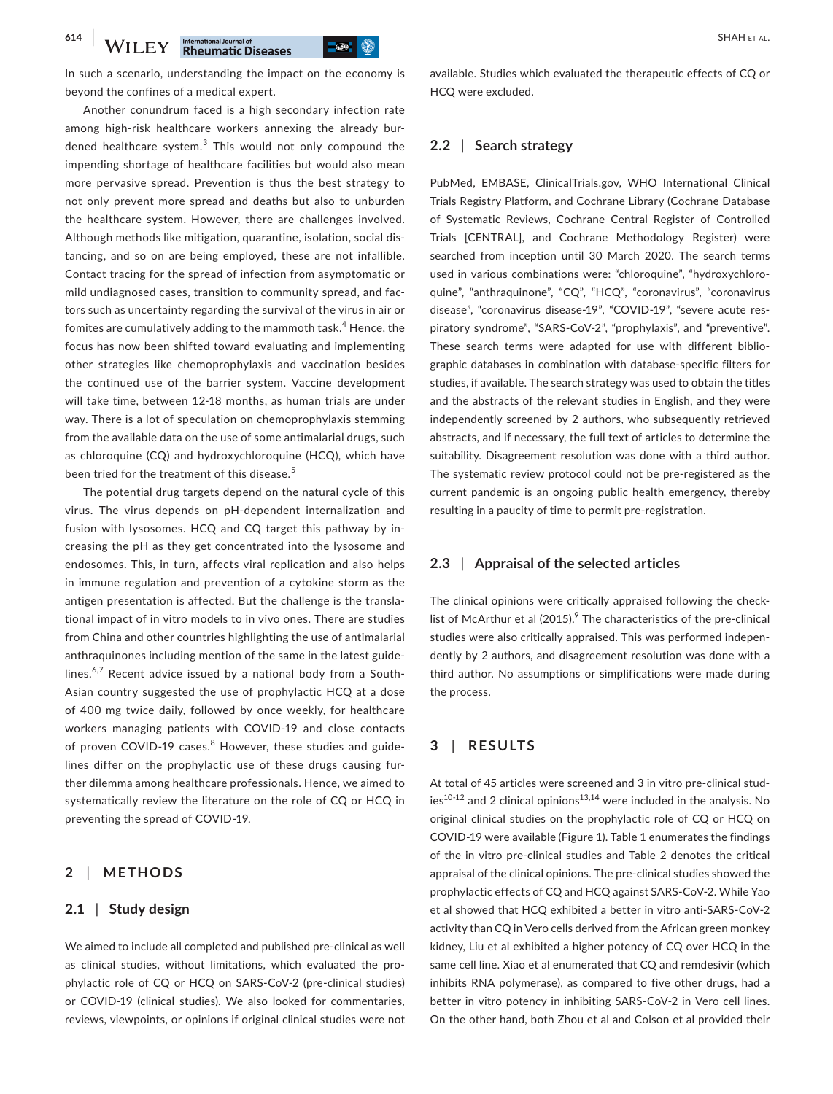**614 WILEY** International Journal of **CONSECUTER CONSECUTER** SHAH ET AL.

In such a scenario, understanding the impact on the economy is beyond the confines of a medical expert.

Another conundrum faced is a high secondary infection rate among high-risk healthcare workers annexing the already burdened healthcare system.<sup>3</sup> This would not only compound the impending shortage of healthcare facilities but would also mean more pervasive spread. Prevention is thus the best strategy to not only prevent more spread and deaths but also to unburden the healthcare system. However, there are challenges involved. Although methods like mitigation, quarantine, isolation, social distancing, and so on are being employed, these are not infallible. Contact tracing for the spread of infection from asymptomatic or mild undiagnosed cases, transition to community spread, and factors such as uncertainty regarding the survival of the virus in air or fomites are cumulatively adding to the mammoth task.<sup>4</sup> Hence, the focus has now been shifted toward evaluating and implementing other strategies like chemoprophylaxis and vaccination besides the continued use of the barrier system. Vaccine development will take time, between 12-18 months, as human trials are under way. There is a lot of speculation on chemoprophylaxis stemming from the available data on the use of some antimalarial drugs, such as chloroquine (CQ) and hydroxychloroquine (HCQ), which have been tried for the treatment of this disease.<sup>5</sup>

The potential drug targets depend on the natural cycle of this virus. The virus depends on pH-dependent internalization and fusion with lysosomes. HCQ and CQ target this pathway by increasing the pH as they get concentrated into the lysosome and endosomes. This, in turn, affects viral replication and also helps in immune regulation and prevention of a cytokine storm as the antigen presentation is affected. But the challenge is the translational impact of in vitro models to in vivo ones. There are studies from China and other countries highlighting the use of antimalarial anthraquinones including mention of the same in the latest guidelines.<sup>6,7</sup> Recent advice issued by a national body from a South-Asian country suggested the use of prophylactic HCQ at a dose of 400 mg twice daily, followed by once weekly, for healthcare workers managing patients with COVID-19 and close contacts of proven COVID-19 cases.<sup>8</sup> However, these studies and guidelines differ on the prophylactic use of these drugs causing further dilemma among healthcare professionals. Hence, we aimed to systematically review the literature on the role of CQ or HCQ in preventing the spread of COVID-19.

## **2** | **METHODS**

### **2.1** | **Study design**

We aimed to include all completed and published pre-clinical as well as clinical studies, without limitations, which evaluated the prophylactic role of CQ or HCQ on SARS-CoV-2 (pre-clinical studies) or COVID-19 (clinical studies). We also looked for commentaries, reviews, viewpoints, or opinions if original clinical studies were not available. Studies which evaluated the therapeutic effects of CQ or HCQ were excluded.

## **2.2** | **Search strategy**

PubMed, EMBASE, ClinicalTrials.gov, WHO International Clinical Trials Registry Platform, and Cochrane Library (Cochrane Database of Systematic Reviews, Cochrane Central Register of Controlled Trials [CENTRAL], and Cochrane Methodology Register) were searched from inception until 30 March 2020. The search terms used in various combinations were: "chloroquine", "hydroxychloroquine", "anthraquinone", "CQ", "HCQ", "coronavirus", "coronavirus disease", "coronavirus disease-19", "COVID-19", "severe acute respiratory syndrome", "SARS-CoV-2", "prophylaxis", and "preventive". These search terms were adapted for use with different bibliographic databases in combination with database-specific filters for studies, if available. The search strategy was used to obtain the titles and the abstracts of the relevant studies in English, and they were independently screened by 2 authors, who subsequently retrieved abstracts, and if necessary, the full text of articles to determine the suitability. Disagreement resolution was done with a third author. The systematic review protocol could not be pre-registered as the current pandemic is an ongoing public health emergency, thereby resulting in a paucity of time to permit pre-registration.

#### **2.3** | **Appraisal of the selected articles**

The clinical opinions were critically appraised following the checklist of McArthur et al (2015). $9$  The characteristics of the pre-clinical studies were also critically appraised. This was performed independently by 2 authors, and disagreement resolution was done with a third author. No assumptions or simplifications were made during the process.

## **3** | **RESULTS**

At total of 45 articles were screened and 3 in vitro pre-clinical stud $ies<sup>10-12</sup>$  and 2 clinical opinions<sup>13,14</sup> were included in the analysis. No original clinical studies on the prophylactic role of CQ or HCQ on COVID-19 were available (Figure 1). Table 1 enumerates the findings of the in vitro pre-clinical studies and Table 2 denotes the critical appraisal of the clinical opinions. The pre-clinical studies showed the prophylactic effects of CQ and HCQ against SARS-CoV-2. While Yao et al showed that HCQ exhibited a better in vitro anti-SARS-CoV-2 activity than CQ in Vero cells derived from the African green monkey kidney, Liu et al exhibited a higher potency of CQ over HCQ in the same cell line. Xiao et al enumerated that CQ and remdesivir (which inhibits RNA polymerase), as compared to five other drugs, had a better in vitro potency in inhibiting SARS-CoV-2 in Vero cell lines. On the other hand, both Zhou et al and Colson et al provided their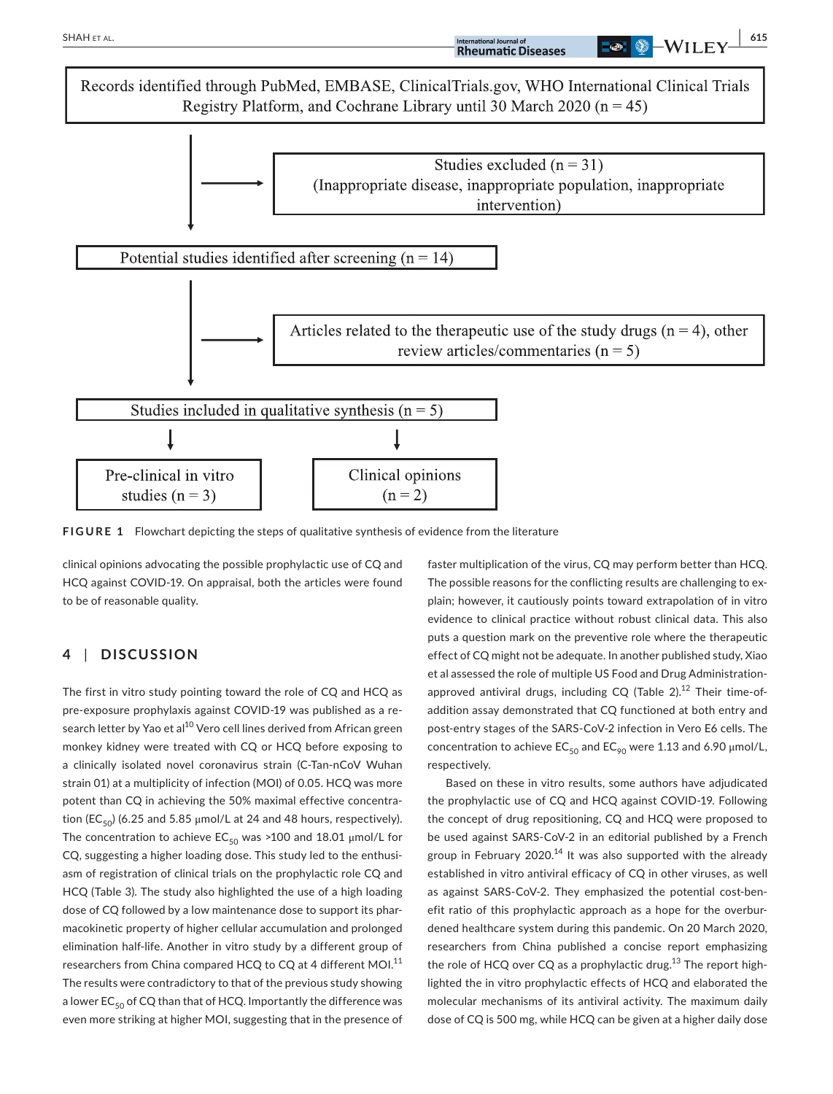

**FIGURE 1** Flowchart depicting the steps of qualitative synthesis of evidence from the literature

clinical opinions advocating the possible prophylactic use of CQ and HCQ against COVID-19. On appraisal, both the articles were found to be of reasonable quality.

## **4** | **DISCUSSION**

The first in vitro study pointing toward the role of CQ and HCQ as pre-exposure prophylaxis against COVID-19 was published as a research letter by Yao et al<sup>10</sup> Vero cell lines derived from African green monkey kidney were treated with CQ or HCQ before exposing to a clinically isolated novel coronavirus strain (C-Tan-nCoV Wuhan strain 01) at a multiplicity of infection (MOI) of 0.05. HCQ was more potent than CQ in achieving the 50% maximal effective concentration (EC<sub>50</sub>) (6.25 and 5.85  $\mu$ mol/L at 24 and 48 hours, respectively). The concentration to achieve  $EC_{50}$  was >100 and 18.01 µmol/L for CQ, suggesting a higher loading dose. This study led to the enthusiasm of registration of clinical trials on the prophylactic role CQ and HCQ (Table 3). The study also highlighted the use of a high loading dose of CQ followed by a low maintenance dose to support its pharmacokinetic property of higher cellular accumulation and prolonged elimination half-life. Another in vitro study by a different group of researchers from China compared HCQ to CQ at 4 different MOI.<sup>11</sup> The results were contradictory to that of the previous study showing a lower  $EC_{50}$  of CQ than that of HCQ. Importantly the difference was even more striking at higher MOI, suggesting that in the presence of faster multiplication of the virus, CQ may perform better than HCQ. The possible reasons for the conflicting results are challenging to explain; however, it cautiously points toward extrapolation of in vitro evidence to clinical practice without robust clinical data. This also puts a question mark on the preventive role where the therapeutic effect of CQ might not be adequate. In another published study, Xiao et al assessed the role of multiple US Food and Drug Administrationapproved antiviral drugs, including  $CQ$  (Table 2).<sup>12</sup> Their time-ofaddition assay demonstrated that CQ functioned at both entry and post-entry stages of the SARS-CoV-2 infection in Vero E6 cells. The concentration to achieve  $EC_{50}$  and  $EC_{90}$  were 1.13 and 6.90 µmol/L, respectively.

Based on these in vitro results, some authors have adjudicated the prophylactic use of CQ and HCQ against COVID-19. Following the concept of drug repositioning, CQ and HCQ were proposed to be used against SARS-CoV-2 in an editorial published by a French group in February 2020.<sup>14</sup> It was also supported with the already established in vitro antiviral efficacy of CQ in other viruses, as well as against SARS-CoV-2. They emphasized the potential cost-benefit ratio of this prophylactic approach as a hope for the overburdened healthcare system during this pandemic. On 20 March 2020, researchers from China published a concise report emphasizing the role of HCQ over CQ as a prophylactic drug.<sup>13</sup> The report highlighted the in vitro prophylactic effects of HCQ and elaborated the molecular mechanisms of its antiviral activity. The maximum daily dose of CQ is 500 mg, while HCQ can be given at a higher daily dose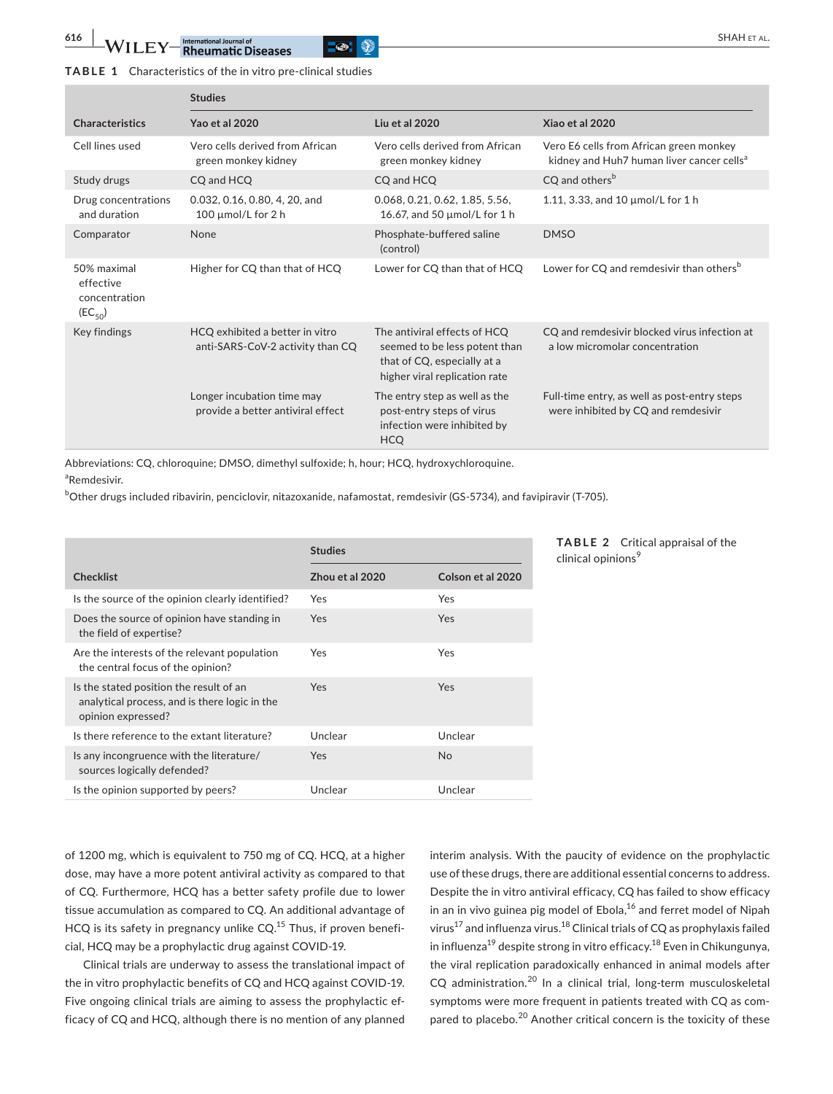## **TABLE 1** Characteristics of the in vitro pre-clinical studies

|                                                          | <b>Studies</b>                                                      |                                                                                                                               |                                                                                                  |
|----------------------------------------------------------|---------------------------------------------------------------------|-------------------------------------------------------------------------------------------------------------------------------|--------------------------------------------------------------------------------------------------|
| <b>Characteristics</b>                                   | Yao et al 2020                                                      | Liu et al 2020                                                                                                                | Xiao et al 2020                                                                                  |
| Cell lines used                                          | Vero cells derived from African<br>green monkey kidney              | Vero cells derived from African<br>green monkey kidney                                                                        | Vero E6 cells from African green monkey<br>kidney and Huh7 human liver cancer cells <sup>a</sup> |
| Study drugs                                              | CQ and HCQ                                                          | CQ and HCQ                                                                                                                    | CQ and others <sup>b</sup>                                                                       |
| Drug concentrations<br>and duration                      | 0.032, 0.16, 0.80, 4, 20, and<br>100 $\mu$ mol/L for 2 h            | 0.068, 0.21, 0.62, 1.85, 5.56,<br>16.67, and 50 µmol/L for 1 h                                                                | 1.11, 3.33, and 10 $\mu$ mol/L for 1 h                                                           |
| Comparator                                               | None                                                                | Phosphate-buffered saline<br>(control)                                                                                        | <b>DMSO</b>                                                                                      |
| 50% maximal<br>effective<br>concentration<br>$(EC_{50})$ | Higher for CQ than that of HCQ                                      | Lower for CQ than that of HCQ                                                                                                 | Lower for CQ and remdesivir than others <sup>b</sup>                                             |
| Key findings                                             | HCQ exhibited a better in vitro<br>anti-SARS-CoV-2 activity than CQ | The antiviral effects of HCQ<br>seemed to be less potent than<br>that of CQ, especially at a<br>higher viral replication rate | CQ and remdesivir blocked virus infection at<br>a low micromolar concentration                   |
|                                                          | Longer incubation time may<br>provide a better antiviral effect     | The entry step as well as the<br>post-entry steps of virus<br>infection were inhibited by<br><b>HCO</b>                       | Full-time entry, as well as post-entry steps<br>were inhibited by CQ and remdesivir              |

Abbreviations: CQ, chloroquine; DMSO, dimethyl sulfoxide; h, hour; HCQ, hydroxychloroquine. a Remdesivir.

b Other drugs included ribavirin, penciclovir, nitazoxanide, nafamostat, remdesivir (GS-5734), and favipiravir (T-705).

|                                                                                                                | <b>Studies</b>  |                   |
|----------------------------------------------------------------------------------------------------------------|-----------------|-------------------|
| <b>Checklist</b>                                                                                               | Zhou et al 2020 | Colson et al 2020 |
| Is the source of the opinion clearly identified?                                                               | Yes             | Yes               |
| Does the source of opinion have standing in<br>the field of expertise?                                         | Yes             | Yes               |
| Are the interests of the relevant population<br>the central focus of the opinion?                              | Yes             | Yes               |
| Is the stated position the result of an<br>analytical process, and is there logic in the<br>opinion expressed? | Yes             | Yes               |
| Is there reference to the extant literature?                                                                   | Unclear         | Unclear           |
| Is any incongruence with the literature/<br>sources logically defended?                                        | Yes             | <b>No</b>         |
| Is the opinion supported by peers?                                                                             | Unclear         | Unclear           |

#### **TABLE 2** Critical appraisal of the clinical opinions<sup>9</sup>

of 1200 mg, which is equivalent to 750 mg of CQ. HCQ, at a higher dose, may have a more potent antiviral activity as compared to that of CQ. Furthermore, HCQ has a better safety profile due to lower tissue accumulation as compared to CQ. An additional advantage of HCQ is its safety in pregnancy unlike  $CQ$ .<sup>15</sup> Thus, if proven beneficial, HCQ may be a prophylactic drug against COVID-19.

Clinical trials are underway to assess the translational impact of the in vitro prophylactic benefits of CQ and HCQ against COVID-19. Five ongoing clinical trials are aiming to assess the prophylactic efficacy of CQ and HCQ, although there is no mention of any planned interim analysis. With the paucity of evidence on the prophylactic use of these drugs, there are additional essential concerns to address. Despite the in vitro antiviral efficacy, CQ has failed to show efficacy in an in vivo guinea pig model of Ebola, $^{16}$  and ferret model of Nipah virus<sup>17</sup> and influenza virus.<sup>18</sup> Clinical trials of CQ as prophylaxis failed in influenza<sup>19</sup> despite strong in vitro efficacy.<sup>18</sup> Even in Chikungunya, the viral replication paradoxically enhanced in animal models after CQ administration.20 In a clinical trial, long-term musculoskeletal symptoms were more frequent in patients treated with CQ as compared to placebo.<sup>20</sup> Another critical concern is the toxicity of these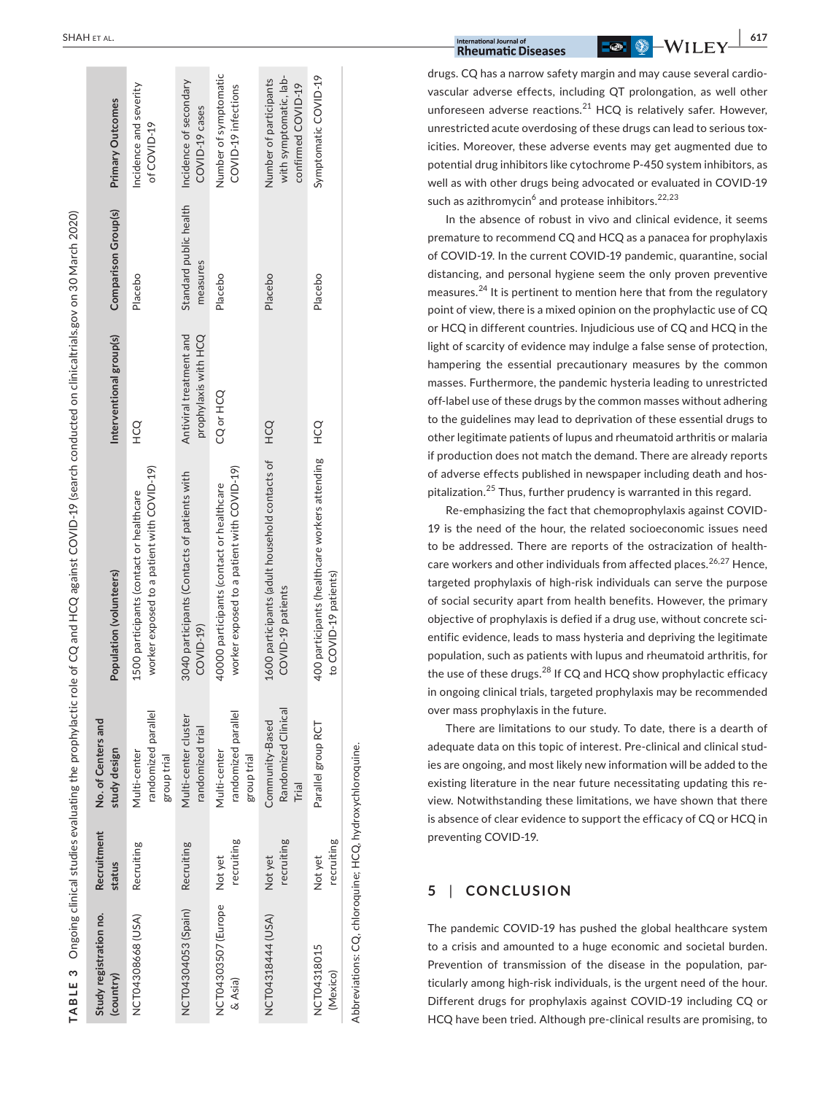| TABLE 3 Ongoing clinical studies evaluating the prophylactic |                       |                                                    | role of CQ and HCQ against COVID-19 (search conducted on clinicaltrials.gov on 30 March 2020) |                                                 |                                    |                                                                        |
|--------------------------------------------------------------|-----------------------|----------------------------------------------------|-----------------------------------------------------------------------------------------------|-------------------------------------------------|------------------------------------|------------------------------------------------------------------------|
| Study registration no.<br>(country)                          | Recruitment<br>status | No. of Centers and<br>study design                 | Population (volunteers)                                                                       | Interventional group(s)                         | Comparison Group(s)                | Primary Outcomes                                                       |
| NCT04308668 (USA)                                            | Recruiting            | randomized parallel<br>Multi-center<br>group trial | worker exposed to a patient with COVID-19)<br>1500 participants (contact or healthcare        | CO<br>H                                         | Placebo                            | Incidence and severity<br>of COVID-19                                  |
| NCT04304053 (Spain)                                          | Recruiting            | Multi-center cluster<br>randomized trial           | 3040 participants (Contacts of patients with<br>COVID-19)                                     | Antiviral treatment and<br>prophylaxis with HCQ | Standard public health<br>measures | Incidence of secondary<br>COVID-19 cases                               |
| NCT04303507 (Europe<br>$\&$ Asia)                            | recruiting<br>Not yet | randomized parallel<br>Multi-center<br>group trial | worker exposed to a patient with COVID-19)<br>4000 participants (contact or healthcare        | CQ or HCQ                                       | Placebo                            | Number of symptomatic<br>COVID-19 infections                           |
| NCT04318444 (USA)                                            | recruiting<br>Not yet | Randomized Clinical<br>Community-Based<br>Trial    | 1600 participants (adult household contacts of<br>COVID-19 patients                           | <b>CO</b>                                       | Placebo                            | with symptomatic, lab-<br>Number of participants<br>confirmed COVID-19 |
| NCT04318015<br>(Mexico)                                      | recruiting<br>Not yet | Parallel group RCT                                 | 400 participants (healthcare workers attending<br>to COVID-19 patients)                       | OC<br>H                                         | Placebo                            | Symptomatic COVID-19                                                   |
| Abbreviations: CQ, chloroquine; HCQ, hydroxychloroquine.     |                       |                                                    |                                                                                               |                                                 |                                    |                                                                        |

| International Journal of **Canadian Communisties | Canadian Communisties | Canadian Communisties | Canadian Communisties | SA/TIT TV | <sup>617</sup>** 

drugs. CQ has a narrow safety margin and may cause several cardio vascular adverse effects, including QT prolongation, as well other unforeseen adverse reactions.<sup>21</sup> HCQ is relatively safer. However, unrestricted acute overdosing of these drugs can lead to serious tox icities. Moreover, these adverse events may get augmented due to potential drug inhibitors like cytochrome P-450 system inhibitors, as well as with other drugs being advocated or evaluated in COVID-19 such as azithromycin<sup>6</sup> and protease inhibitors.<sup>22,23</sup>

In the absence of robust in vivo and clinical evidence, it seems premature to recommend CQ and HCQ as a panacea for prophylaxis of COVID-19. In the current COVID-19 pandemic, quarantine, social distancing, and personal hygiene seem the only proven preventive measures.<sup>24</sup> It is pertinent to mention here that from the regulatory point of view, there is a mixed opinion on the prophylactic use of CQ or HCQ in different countries. Injudicious use of CQ and HCQ in the light of scarcity of evidence may indulge a false sense of protection, hampering the essential precautionary measures by the common masses. Furthermore, the pandemic hysteria leading to unrestricted off-label use of these drugs by the common masses without adhering to the guidelines may lead to deprivation of these essential drugs to other legitimate patients of lupus and rheumatoid arthritis or malaria if production does not match the demand. There are already reports of adverse effects published in newspaper including death and hos pitalization.25 Thus, further prudency is warranted in this regard.

Re-emphasizing the fact that chemoprophylaxis against COVID-19 is the need of the hour, the related socioeconomic issues need to be addressed. There are reports of the ostracization of health care workers and other individuals from affected places.<sup>26,27</sup> Hence, targeted prophylaxis of high-risk individuals can serve the purpose of social security apart from health benefits. However, the primary objective of prophylaxis is defied if a drug use, without concrete sci entific evidence, leads to mass hysteria and depriving the legitimate population, such as patients with lupus and rheumatoid arthritis, for the use of these drugs.<sup>28</sup> If CQ and HCQ show prophylactic efficacy in ongoing clinical trials, targeted prophylaxis may be recommended over mass prophylaxis in the future.

There are limitations to our study. To date, there is a dearth of adequate data on this topic of interest. Pre-clinical and clinical stud ies are ongoing, and most likely new information will be added to the existing literature in the near future necessitating updating this re view. Notwithstanding these limitations, we have shown that there is absence of clear evidence to support the efficacy of CQ or HCQ in preventing COVID-19.

#### **5**  | **CONCLUSION**

The pandemic COVID-19 has pushed the global healthcare system to a crisis and amounted to a huge economic and societal burden. Prevention of transmission of the disease in the population, par ticularly among high-risk individuals, is the urgent need of the hour. Different drugs for prophylaxis against COVID-19 including CQ or HCQ have been tried. Although pre-clinical results are promising, to

**COLLECTION**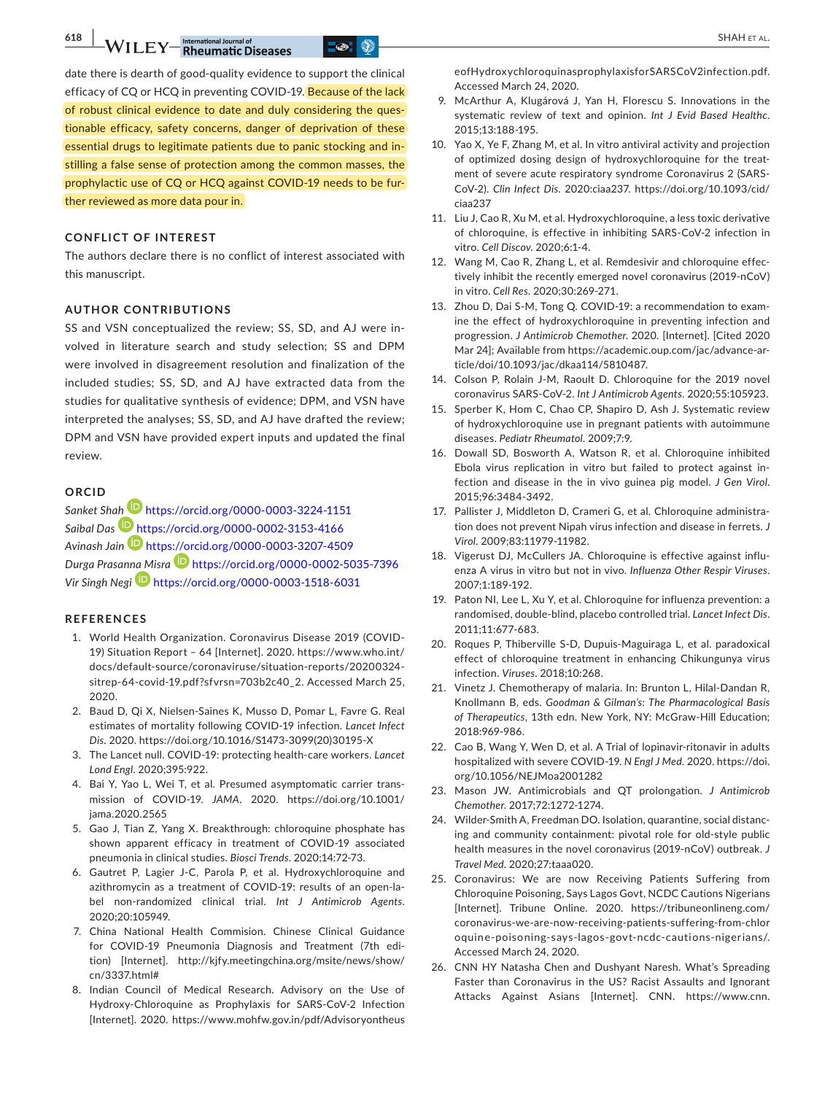**618 | CALLET TREE** SHAH ET AL.

date there is dearth of good-quality evidence to support the clinical efficacy of CQ or HCQ in preventing COVID-19. Because of the lack of robust clinical evidence to date and duly considering the questionable efficacy, safety concerns, danger of deprivation of these essential drugs to legitimate patients due to panic stocking and instilling a false sense of protection among the common masses, the prophylactic use of CQ or HCQ against COVID-19 needs to be further reviewed as more data pour in.

## **CONFLICT OF INTEREST**

The authors declare there is no conflict of interest associated with this manuscript.

#### **AUTHOR CONTRIBUTIONS**

SS and VSN conceptualized the review; SS, SD, and AJ were involved in literature search and study selection; SS and DPM were involved in disagreement resolution and finalization of the included studies; SS, SD, and AJ have extracted data from the studies for qualitative synthesis of evidence; DPM, and VSN have interpreted the analyses; SS, SD, and AJ have drafted the review; DPM and VSN have provided expert inputs and updated the final review.

#### **ORCID**

*Sanket Sh[ah](https://orcid.org/0000-0002-3153-4166)* <https://orcid.org/0000-0003-3224-1151> *Saibal Das* <https://orcid.org/0000-0002-3153-4166> *Avinash Jain* <https://orcid.org/0000-0003-3207-4509> *Durga Prasan[na M](https://orcid.org/0000-0003-1518-6031)isra* <https://orcid.org/0000-0002-5035-7396> *Vir Singh Negi* <https://orcid.org/0000-0003-1518-6031>

#### **REFERENCES**

- 1. World Health Organization. Coronavirus Disease 2019 (COVID-19) Situation Report – 64 [Internet]. 2020. [https://www.who.int/](https://www.who.int/docs/default-source/coronaviruse/situation-reports/20200324-sitrep-64-covid-19.pdf?sfvrsn=703b2c40_2) [docs/default-source/coronaviruse/situation-reports/20200324](https://www.who.int/docs/default-source/coronaviruse/situation-reports/20200324-sitrep-64-covid-19.pdf?sfvrsn=703b2c40_2) [sitrep-64-covid-19.pdf?sfvrsn=703b2c40\\_2.](https://www.who.int/docs/default-source/coronaviruse/situation-reports/20200324-sitrep-64-covid-19.pdf?sfvrsn=703b2c40_2) Accessed March 25, 2020.
- 2. Baud D, Qi X, Nielsen-Saines K, Musso D, Pomar L, Favre G. Real estimates of mortality following COVID-19 infection. *Lancet Infect Dis*. 2020. [https://doi.org/10.1016/S1473-3099\(20\)30195-X](https://doi.org/10.1016/S1473-3099(20)30195-X)
- 3. The Lancet null. COVID-19: protecting health-care workers. *Lancet Lond Engl*. 2020;395:922.
- 4. Bai Y, Yao L, Wei T, et al. Presumed asymptomatic carrier transmission of COVID-19. *JAMA*. 2020. [https://doi.org/10.1001/](https://doi.org/10.1001/jama.2020.2565) [jama.2020.2565](https://doi.org/10.1001/jama.2020.2565)
- 5. Gao J, Tian Z, Yang X. Breakthrough: chloroquine phosphate has shown apparent efficacy in treatment of COVID-19 associated pneumonia in clinical studies. *Biosci Trends*. 2020;14:72-73.
- 6. Gautret P, Lagier J-C, Parola P, et al. Hydroxychloroquine and azithromycin as a treatment of COVID-19: results of an open-label non-randomized clinical trial. *Int J Antimicrob Agents*. 2020;20:105949.
- 7. China National Health Commision. Chinese Clinical Guidance for COVID-19 Pneumonia Diagnosis and Treatment (7th edition) [Internet]. [http://kjfy.meetingchina.org/msite/news/show/](http://kjfy.meetingchina.org/msite/news/show/cn/3337.html#) [cn/3337.html#](http://kjfy.meetingchina.org/msite/news/show/cn/3337.html#)
- 8. Indian Council of Medical Research. Advisory on the Use of Hydroxy-Chloroquine as Prophylaxis for SARS-CoV-2 Infection [Internet]. 2020. [https://www.mohfw.gov.in/pdf/Advisoryontheus](https://www.mohfw.gov.in/pdf/AdvisoryontheuseofHydroxychloroquinasprophylaxisforSARSCoV2infection.pdf)

[eofHydroxychloroquinasprophylaxisforSARSCoV2infection.pdf.](https://www.mohfw.gov.in/pdf/AdvisoryontheuseofHydroxychloroquinasprophylaxisforSARSCoV2infection.pdf) Accessed March 24, 2020.

- 9. McArthur A, Klugárová J, Yan H, Florescu S. Innovations in the systematic review of text and opinion. *Int J Evid Based Healthc*. 2015;13:188-195.
- 10. Yao X, Ye F, Zhang M, et al. In vitro antiviral activity and projection of optimized dosing design of hydroxychloroquine for the treatment of severe acute respiratory syndrome Coronavirus 2 (SARS-CoV-2). *Clin Infect Dis*. 2020:ciaa237. [https://doi.org/10.1093/cid/](https://doi.org/10.1093/cid/ciaa237) [ciaa237](https://doi.org/10.1093/cid/ciaa237)
- 11. Liu J, Cao R, Xu M, et al. Hydroxychloroquine, a less toxic derivative of chloroquine, is effective in inhibiting SARS-CoV-2 infection in vitro. *Cell Discov*. 2020;6:1-4.
- 12. Wang M, Cao R, Zhang L, et al. Remdesivir and chloroquine effectively inhibit the recently emerged novel coronavirus (2019-nCoV) in vitro. *Cell Res*. 2020;30:269-271.
- 13. Zhou D, Dai S-M, Tong Q. COVID-19: a recommendation to examine the effect of hydroxychloroquine in preventing infection and progression. *J Antimicrob Chemother*. 2020. [Internet]. [Cited 2020 Mar 24]; Available from [https://academic.oup.com/jac/advance-ar](https://academic.oup.com/jac/advance-article/doi/10.1093/jac/dkaa114/5810487)[ticle/doi/10.1093/jac/dkaa114/5810487](https://academic.oup.com/jac/advance-article/doi/10.1093/jac/dkaa114/5810487).
- 14. Colson P, Rolain J-M, Raoult D. Chloroquine for the 2019 novel coronavirus SARS-CoV-2. *Int J Antimicrob Agents*. 2020;55:105923.
- 15. Sperber K, Hom C, Chao CP, Shapiro D, Ash J. Systematic review of hydroxychloroquine use in pregnant patients with autoimmune diseases. *Pediatr Rheumatol*. 2009;7:9.
- 16. Dowall SD, Bosworth A, Watson R, et al. Chloroquine inhibited Ebola virus replication in vitro but failed to protect against infection and disease in the in vivo guinea pig model. *J Gen Virol*. 2015;96:3484-3492.
- 17. Pallister J, Middleton D, Crameri G, et al. Chloroquine administration does not prevent Nipah virus infection and disease in ferrets. *J Virol*. 2009;83:11979-11982.
- 18. Vigerust DJ, McCullers JA. Chloroquine is effective against influenza A virus in vitro but not in vivo. *Influenza Other Respir Viruses*. 2007;1:189-192.
- 19. Paton NI, Lee L, Xu Y, et al. Chloroquine for influenza prevention: a randomised, double-blind, placebo controlled trial. *Lancet Infect Dis*. 2011;11:677-683.
- 20. Roques P, Thiberville S-D, Dupuis-Maguiraga L, et al. paradoxical effect of chloroquine treatment in enhancing Chikungunya virus infection. *Viruses*. 2018;10:268.
- 21. Vinetz J. Chemotherapy of malaria. In: Brunton L, Hilal-Dandan R, Knollmann B, eds. *Goodman & Gilman's: The Pharmacological Basis of Therapeutics*, 13th edn. New York, NY: McGraw-Hill Education; 2018:969-986.
- 22. Cao B, Wang Y, Wen D, et al. A Trial of lopinavir-ritonavir in adults hospitalized with severe COVID-19. *N Engl J Med*. 2020. [https://doi.](https://doi.org/10.1056/NEJMoa2001282) [org/10.1056/NEJMoa2001282](https://doi.org/10.1056/NEJMoa2001282)
- 23. Mason JW. Antimicrobials and QT prolongation. *J Antimicrob Chemother*. 2017;72:1272-1274.
- 24. Wilder-Smith A, Freedman DO. Isolation, quarantine, social distancing and community containment: pivotal role for old-style public health measures in the novel coronavirus (2019-nCoV) outbreak. *J Travel Med*. 2020;27:taaa020.
- 25. Coronavirus: We are now Receiving Patients Suffering from Chloroquine Poisoning, Says Lagos Govt, NCDC Cautions Nigerians [Internet]. Tribune Online. 2020. [https://tribuneonlineng.com/](https://tribuneonlineng.com/coronavirus-we-are-now-receiving-patients-suffering-from-chloroquine-poisoning-says-lagos-govt-ncdc-cautions-nigerians/) [coronavirus-we-are-now-receiving-patients-suffering-from-chlor](https://tribuneonlineng.com/coronavirus-we-are-now-receiving-patients-suffering-from-chloroquine-poisoning-says-lagos-govt-ncdc-cautions-nigerians/) [oquine-poisoning-says-lagos-govt-ncdc-cautions-nigerians/.](https://tribuneonlineng.com/coronavirus-we-are-now-receiving-patients-suffering-from-chloroquine-poisoning-says-lagos-govt-ncdc-cautions-nigerians/) Accessed March 24, 2020.
- 26. CNN HY Natasha Chen and Dushyant Naresh. What's Spreading Faster than Coronavirus in the US? Racist Assaults and Ignorant Attacks Against Asians [Internet]. CNN. [https://www.cnn.](https://www.cnn.com/2020/02/20/us/coronavirus-racist-attacks-against-asian-americans/index.html)